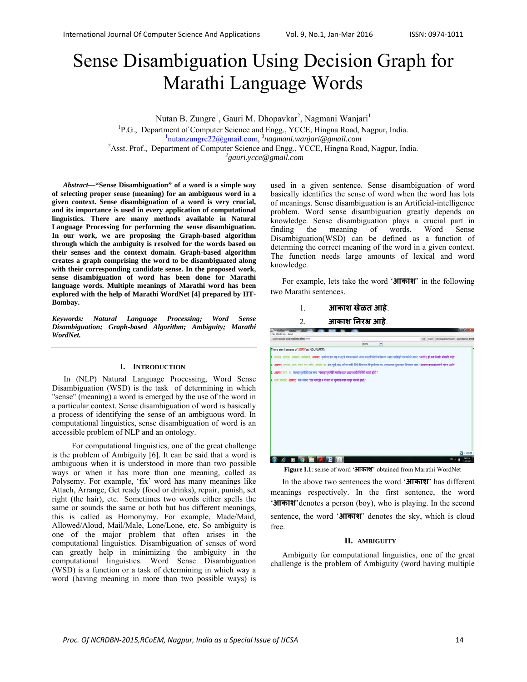# Sense Disambiguation Using Decision Graph for Marathi Language Words

Nutan B. Zungre<sup>1</sup>, Gauri M. Dhopavkar<sup>2</sup>, Nagmani Wanjari<sup>1</sup>

<sup>1</sup>P.G., Department of Computer Science and Engg., YCCE, Hingna Road, Nagpur, India. nutanzungre22@gmail.com, *<sup>3</sup> nagmani.wanjari@gmail.com* <sup>2</sup> <sup>2</sup> Asst. Prof., Department of Computer Science and Engg., YCCE, Hingna Road, Nagpur, India.

*gauri.ycce@gmail.com* 

*Abstract***—"Sense Disambiguation" of a word is a simple way of selecting proper sense (meaning) for an ambiguous word in a given context. Sense disambiguation of a word is very crucial, and its importance is used in every application of computational linguistics. There are many methods available in Natural Language Processing for performing the sense disambiguation. In our work, we are proposing the Graph-based algorithm through which the ambiguity is resolved for the words based on their senses and the context domain. Graph-based algorithm creates a graph comprising the word to be disambiguated along with their corresponding candidate sense. In the proposed work, sense disambiguation of word has been done for Marathi language words. Multiple meanings of Marathi word has been explored with the help of Marathi WordNet [4] prepared by IIT-Bombay.** 

*Keywords: Natural Language Processing; Word Sense Disambiguation; Graph-based Algorithm; Ambiguity; Marathi WordNet.*

## **I. INTRODUCTION**

In (NLP) Natural Language Processing, Word Sense Disambiguation (WSD) is the task of determining in which "sense" (meaning) a word is emerged by the use of the word in a particular context. Sense disambiguation of word is basically a process of identifying the sense of an ambiguous word. In computational linguistics, sense disambiguation of word is an accessible problem of NLP and an ontology.

 For computational linguistics, one of the great challenge is the problem of Ambiguity [6]. It can be said that a word is ambiguous when it is understood in more than two possible ways or when it has more than one meaning, called as Polysemy. For example, 'fix' word has many meanings like Attach, Arrange, Get ready (food or drinks), repair, punish, set right (the hair), etc. Sometimes two words either spells the same or sounds the same or both but has different meanings, this is called as Homonymy. For example, Made/Maid, Allowed/Aloud, Mail/Male, Lone/Lone, etc. So ambiguity is one of the major problem that often arises in the computational linguistics. Disambiguation of senses of word can greatly help in minimizing the ambiguity in the computational linguistics. Word Sense Disambiguation (WSD) is a function or a task of determining in which way a word (having meaning in more than two possible ways) is

used in a given sentence. Sense disambiguation of word basically identifies the sense of word when the word has lots of meanings. Sense disambiguation is an Artificial-intelligence problem. Word sense disambiguation greatly depends on knowledge. Sense disambiguation plays a crucial part in finding the meaning of words. Word Sense Disambiguation(WSD) can be defined as a function of determing the correct meaning of the word in a given context. The function needs large amounts of lexical and word knowledge.

For example, lets take the word '**आकाश**' in the following two Marathi sentences.

| आकाश खेळत आहे. |  |
|----------------|--|
|----------------|--|

#### 2. **आकाश िनरभ्र आहे**.



**Figure I.1**: sense of word '**आकाश**' obtained from Marathi WordNet

In the above two sentences the word '**आकाश**' has different meanings respectively. In the first sentence, the word '**आकाश**'denotes a person (boy), who is playing. In the second sentence, the word '**आकाश**' denotes the sky, which is cloud free.

#### **II. AMBIGUITY**

Ambiguity for computational linguistics, one of the great challenge is the problem of Ambiguity (word having multiple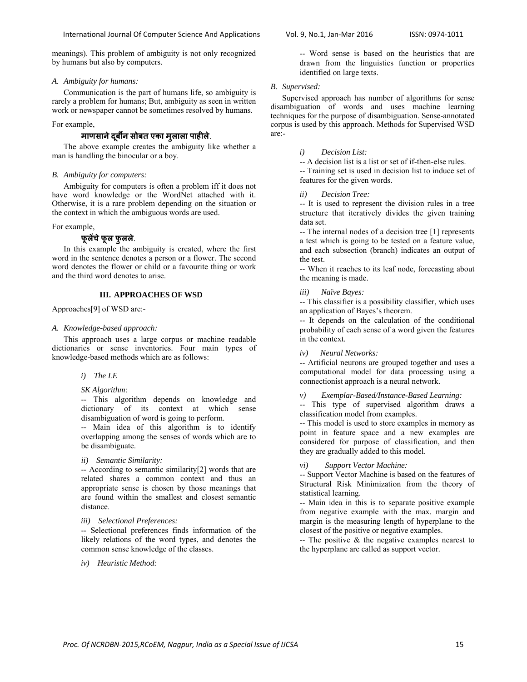meanings). This problem of ambiguity is not only recognized by humans but also by computers.

#### *A. Ambiguity for humans:*

Communication is the part of humans life, so ambiguity is rarely a problem for humans; But, ambiguity as seen in written work or newspaper cannot be sometimes resolved by humans.

#### For example,

# **माणसानेदबीर्नू सोबत एका मु लाला पाहीले**.

The above example creates the ambiguity like whether a man is handling the binocular or a boy.

## *B. Ambiguity for computers:*

Ambiguity for computers is often a problem iff it does not have word knowledge or the WordNet attached with it. Otherwise, it is a rare problem depending on the situation or the context in which the ambiguous words are used.

#### For example,

# **फूलɅचेफूल फुलले**.

In this example the ambiguity is created, where the first word in the sentence denotes a person or a flower. The second word denotes the flower or child or a favourite thing or work and the third word denotes to arise.

# **III. APPROACHES OF WSD**

Approaches[9] of WSD are:-

### *A. Knowledge-based approach:*

This approach uses a large corpus or machine readable dictionaries or sense inventories. Four main types of knowledge-based methods which are as follows:

#### *i) The LE*

## *SK Algorithm*:

-- This algorithm depends on knowledge and dictionary of its context at which sense disambiguation of word is going to perform.

-- Main idea of this algorithm is to identify overlapping among the senses of words which are to be disambiguate.

#### *ii) Semantic Similarity:*

-- According to semantic similarity[2] words that are related shares a common context and thus an appropriate sense is chosen by those meanings that are found within the smallest and closest semantic distance.

## *iii) Selectional Preferences:*

-- Selectional preferences finds information of the likely relations of the word types, and denotes the common sense knowledge of the classes.

*iv) Heuristic Method:* 

-- Word sense is based on the heuristics that are drawn from the linguistics function or properties identified on large texts.

## *B. Supervised:*

Supervised approach has number of algorithms for sense disambiguation of words and uses machine learning techniques for the purpose of disambiguation. Sense-annotated corpus is used by this approach. Methods for Supervised WSD are:-

## *i) Decision List:*

-- A decision list is a list or set of if-then-else rules. -- Training set is used in decision list to induce set of features for the given words.

*ii) Decision Tree:* 

-- It is used to represent the division rules in a tree structure that iteratively divides the given training data set.

-- The internal nodes of a decision tree [1] represents a test which is going to be tested on a feature value, and each subsection (branch) indicates an output of the test.

-- When it reaches to its leaf node, forecasting about the meaning is made.

#### *iii) Naïve Bayes:*

-- This classifier is a possibility classifier, which uses an application of Bayes's theorem.

-- It depends on the calculation of the conditional probability of each sense of a word given the features in the context.

*iv) Neural Networks:* 

-- Artificial neurons are grouped together and uses a computational model for data processing using a connectionist approach is a neural network.

*v) Exemplar-Based/Instance-Based Learning:* 

-- This type of supervised algorithm draws a classification model from examples.

-- This model is used to store examples in memory as point in feature space and a new examples are considered for purpose of classification, and then they are gradually added to this model.

*vi) Support Vector Machine:* 

-- Support Vector Machine is based on the features of Structural Risk Minimization from the theory of statistical learning.

-- Main idea in this is to separate positive example from negative example with the max. margin and margin is the measuring length of hyperplane to the closest of the positive or negative examples.

-- The positive & the negative examples nearest to the hyperplane are called as support vector.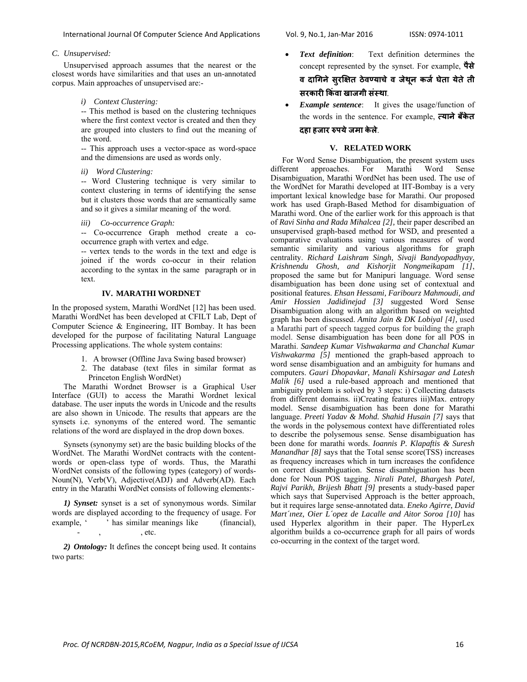## *C. Unsupervised:*

Unsupervised approach assumes that the nearest or the closest words have similarities and that uses an un-annotated corpus. Main approaches of unsupervised are:-

*i) Context Clustering:* 

-- This method is based on the clustering techniques where the first context vector is created and then they are grouped into clusters to find out the meaning of the word.

-- This approach uses a vector-space as word-space and the dimensions are used as words only.

*ii) Word Clustering:* 

-- Word Clustering technique is very similar to context clustering in terms of identifying the sense but it clusters those words that are semantically same and so it gives a similar meaning of the word.

*iii) Co-occurrence Graph:* 

-- Co-occurrence Graph method create a cooccurrence graph with vertex and edge.

-- vertex tends to the words in the text and edge is joined if the words co-occur in their relation according to the syntax in the same paragraph or in text.

# **IV. MARATHI WORDNET**

In the proposed system, Marathi WordNet [12] has been used. Marathi WordNet has been developed at CFILT Lab, Dept of Computer Science & Engineering, IIT Bombay. It has been developed for the purpose of facilitating Natural Language Processing applications. The whole system contains:

- 1. A browser (Offline Java Swing based browser)
- 2. The database (text files in similar format as Princeton English WordNet)

The Marathi Wordnet Browser is a Graphical User Interface (GUI) to access the Marathi Wordnet lexical database. The user inputs the words in Unicode and the results are also shown in Unicode. The results that appears are the synsets i.e. synonyms of the entered word. The semantic relations of the word are displayed in the drop down boxes.

Synsets (synonymy set) are the basic building blocks of the WordNet. The Marathi WordNet contracts with the contentwords or open-class type of words. Thus, the Marathi WordNet consists of the following types (category) of words-Noun(N), Verb(V), Adjective(ADJ) and Adverb(AD). Each entry in the Marathi WordNet consists of following elements:-

*1) Synset:* synset is a set of synonymous words. Similar words are displayed according to the frequency of usage. For example,  $\cdot$  has similar meanings like (financial),  $.$  etc.

*2) Ontology:* It defines the concept being used. It contains two parts:

- *Text definition*: Text definition determines the concept represented by the synset. For example, **पैसे व दािगनेसुरिक्षत ठेवÖयाचेव जेथू न कजर् घेता येतेती सरकारी िकंवा खाजगी संèथा**.
- **Example sentence**: It gives the usage/function of the words in the sentence. For example, **×यानेबँकेत दहा हजार ǽपयेजमा केले**.

#### **V. RELATED WORK**

For Word Sense Disambiguation, the present system uses<br>different approaches. For Marathi Word Sense approaches. For Marathi Word Sense Disambiguation, Marathi WordNet has been used. The use of the WordNet for Marathi developed at IIT-Bombay is a very important lexical knowledge base for Marathi. Our proposed work has used Graph-Based Method for disambiguation of Marathi word. One of the earlier work for this approach is that of *Ravi Sinha and Rada Mihalcea [2],* their paper described an unsupervised graph-based method for WSD, and presented a comparative evaluations using various measures of word semantic similarity and various algorithms for graph centrality. *Richard Laishram Singh, Sivaji Bandyopadhyay, Krishnendu Ghosh, and Kishorjit Nongmeikapam [1]*, proposed the same but for Manipuri language. Word sense disambiguation has been done using set of contextual and positional features. *Ehsan Hessami, Faribourz Mahmoudi, and Amir Hossien Jadidinejad [3]* suggested Word Sense Disambiguation along with an algorithm based on weighted graph has been discussed. *Amita Jain & DK Lobiyal [4],* used a Marathi part of speech tagged corpus for building the graph model. Sense disambiguation has been done for all POS in Marathi. *Sandeep Kumar Vishwakarma and Chanchal Kumar Vishwakarma [5]* mentioned the graph-based approach to word sense disambiguation and an ambiguity for humans and computers. *Gauri Dhopavkar, Manali Kshirsagar and Latesh Malik [6]* used a rule-based approach and mentioned that ambiguity problem is solved by  $\overline{3}$  steps: i) Collecting datasets from different domains. ii)Creating features iii)Max. entropy model. Sense disambiguation has been done for Marathi language. *Preeti Yadav & Mohd. Shahid Husain [7]* says that the words in the polysemous context have differentiated roles to describe the polysemous sense. Sense disambiguation has been done for marathi words. *Ioannis P. Klapaftis & Suresh Manandhar [8]* says that the Total sense score(TSS) increases as frequency increases which in turn increases the confidence on correct disambiguation. Sense disambiguation has been done for Noun POS tagging. *Nirali Patel, Bhargesh Patel, Rajvi Parikh, Brijesh Bhatt [9]* presents a study-based paper which says that Supervised Approach is the better approach, but it requires large sense-annotated data. *Eneko Agirre, David Mart´ınez, Oier L´opez de Lacalle and Aitor Soroa [10]* has used Hyperlex algorithm in their paper. The HyperLex algorithm builds a co-occurrence graph for all pairs of words co-occurring in the context of the target word.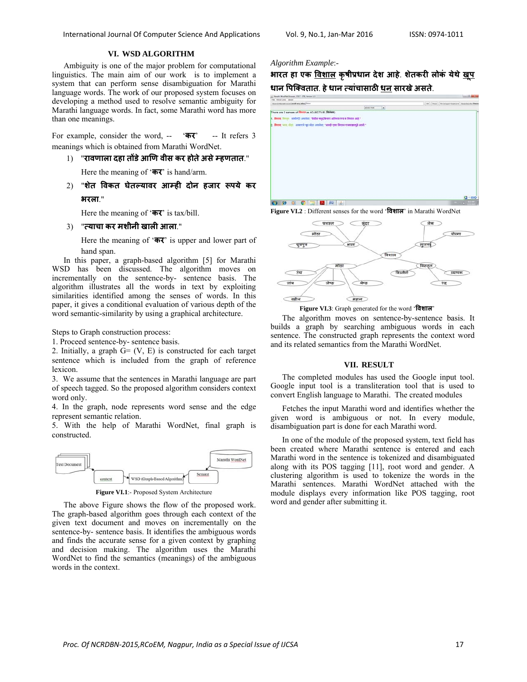# **VI. WSD ALGORITHM**

Ambiguity is one of the major problem for computational linguistics. The main aim of our work is to implement a system that can perform sense disambiguation for Marathi language words. The work of our proposed system focuses on developing a method used to resolve semantic ambiguity for Marathi language words. In fact, some Marathi word has more than one meanings.

For example, consider the word, -- '**कर**' -- It refers 3 meanings which is obtained from Marathi WordNet.

1) "**रावणाला दहा तɉडेआिण वीस कर होतेअसेàहणतात**."

Here the meaning of '**कर**' is hand/arm.

2) "**शेत िवकत घेतãयावर आàही दोन हजार Ǿपये कर भरला**."

Here the meaning of '**कर**' is tax/bill.

### 3) "**×याचा कर मशीनी खाली आला**."

Here the meaning of '**कर**' is upper and lower part of hand span.

In this paper, a graph-based algorithm [5] for Marathi WSD has been discussed. The algorithm moves on incrementally on the sentence-by- sentence basis. The algorithm illustrates all the words in text by exploiting similarities identified among the senses of words. In this paper, it gives a conditional evaluation of various depth of the word semantic-similarity by using a graphical architecture.

Steps to Graph construction process:

1. Proceed sentence-by- sentence basis.

2. Initially, a graph  $\overline{G} = (V, E)$  is constructed for each target sentence which is included from the graph of reference lexicon.

3. We assume that the sentences in Marathi language are part of speech tagged. So the proposed algorithm considers context word only.

4. In the graph, node represents word sense and the edge represent semantic relation.

5. With the help of Marathi WordNet, final graph is constructed.



**Figure VI.1**:- Proposed System Architecture

The above Figure shows the flow of the proposed work. The graph-based algorithm goes through each context of the given text document and moves on incrementally on the sentence-by- sentence basis. It identifies the ambiguous words and finds the accurate sense for a given context by graphing and decision making. The algorithm uses the Marathi WordNet to find the semantics (meanings) of the ambiguous words in the context.

#### *Algorithm Example*:-

**भारत हा एक िवशाल कृषीप्रधान देश आहे**. **शेतकरी लोकं येथेखू प धान िपिक्वतात**. **हेधान ×यांचासाठी धन सारखेअसत**. **े**







**Figure VI.3**: Graph generated for the word '**िवशाल**'

The algorithm moves on sentence-by-sentence basis. It builds a graph by searching ambiguous words in each sentence. The constructed graph represents the context word and its related semantics from the Marathi WordNet.

## **VII. RESULT**

The completed modules has used the Google input tool. Google input tool is a transliteration tool that is used to convert English language to Marathi. The created modules

Fetches the input Marathi word and identifies whether the given word is ambiguous or not. In every module, disambiguation part is done for each Marathi word.

In one of the module of the proposed system, text field has been created where Marathi sentence is entered and each Marathi word in the sentence is tokenized and disambiguated along with its POS tagging [11], root word and gender. A clustering algorithm is used to tokenize the words in the Marathi sentences. Marathi WordNet attached with the module displays every information like POS tagging, root word and gender after submitting it.